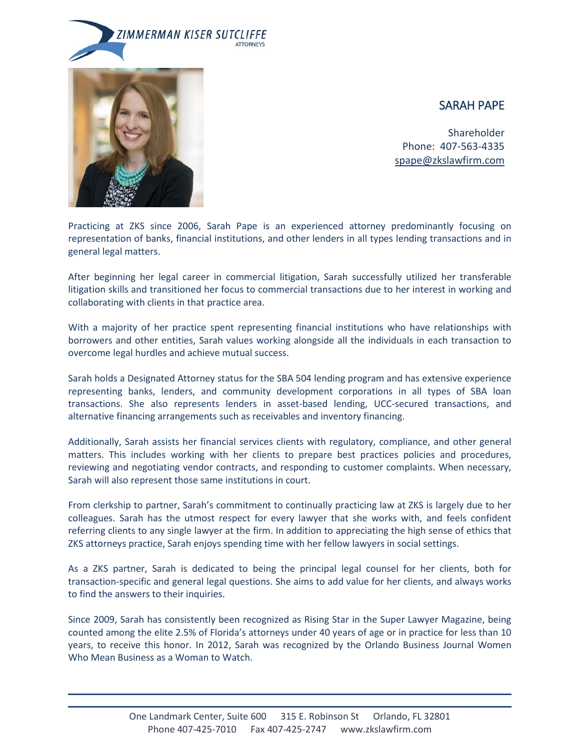



# SARAH PAPE

Shareholder Phone: 407-563-4335 [spape@zkslawfirm.com](mailto:spape@zkslawfirm.com)

Practicing at ZKS since 2006, Sarah Pape is an experienced attorney predominantly focusing on representation of banks, financial institutions, and other lenders in all types lending transactions and in general legal matters.

After beginning her legal career in commercial litigation, Sarah successfully utilized her transferable litigation skills and transitioned her focus to commercial transactions due to her interest in working and collaborating with clients in that practice area.

With a majority of her practice spent representing financial institutions who have relationships with borrowers and other entities, Sarah values working alongside all the individuals in each transaction to overcome legal hurdles and achieve mutual success.

Sarah holds a Designated Attorney status for the SBA 504 lending program and has extensive experience representing banks, lenders, and community development corporations in all types of SBA loan transactions. She also represents lenders in asset-based lending, UCC-secured transactions, and alternative financing arrangements such as receivables and inventory financing.

Additionally, Sarah assists her financial services clients with regulatory, compliance, and other general matters. This includes working with her clients to prepare best practices policies and procedures, reviewing and negotiating vendor contracts, and responding to customer complaints. When necessary, Sarah will also represent those same institutions in court.

From clerkship to partner, Sarah's commitment to continually practicing law at ZKS is largely due to her colleagues. Sarah has the utmost respect for every lawyer that she works with, and feels confident referring clients to any single lawyer at the firm. In addition to appreciating the high sense of ethics that ZKS attorneys practice, Sarah enjoys spending time with her fellow lawyers in social settings.

As a ZKS partner, Sarah is dedicated to being the principal legal counsel for her clients, both for transaction-specific and general legal questions. She aims to add value for her clients, and always works to find the answers to their inquiries.

Since 2009, Sarah has consistently been recognized as Rising Star in the Super Lawyer Magazine, being counted among the elite 2.5% of Florida's attorneys under 40 years of age or in practice for less than 10 years, to receive this honor. In 2012, Sarah was recognized by the Orlando Business Journal Women Who Mean Business as a Woman to Watch.